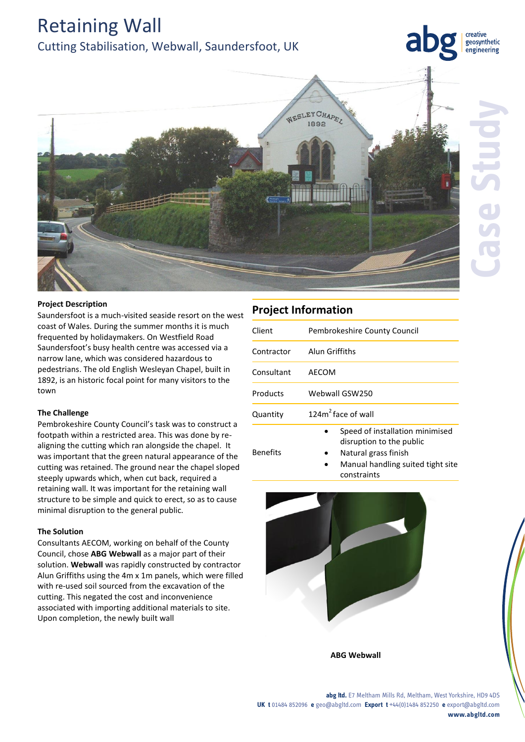Retaining Wall

Cutting Stabilisation, Webwall, Saundersfoot, UK



## **Project Description**

Saundersfoot is a much-visited seaside resort on the west coast of Wales. During the summer months it is much frequented by holidaymakers. On Westfield Road Saundersfoot's busy health centre was accessed via a narrow lane, which was considered hazardous to pedestrians. The old English Wesleyan Chapel, built in 1892, is an historic focal point for many visitors to the town

### **The Challenge**

Pembrokeshire County Council's task was to construct a footpath within a restricted area. This was done by realigning the cutting which ran alongside the chapel. It was important that the green natural appearance of the cutting was retained. The ground near the chapel sloped steeply upwards which, when cut back, required a retaining wall. It was important for the retaining wall structure to be simple and quick to erect, so as to cause minimal disruption to the general public.

### **The Solution**

Consultants AECOM, working on behalf of the County Council, chose **ABG Webwall** as a major part of their solution. **Webwall** was rapidly constructed by contractor Alun Griffiths using the 4m x 1m panels, which were filled with re-used soil sourced from the excavation of the cutting. This negated the cost and inconvenience associated with importing additional materials to site. Upon completion, the newly built wall

creative geosynthetic engineering

| <b>Project Information</b> |                                                                                     |
|----------------------------|-------------------------------------------------------------------------------------|
| Client                     | Pembrokeshire County Council                                                        |
| Contractor                 | Alun Griffiths                                                                      |
| Consultant                 | AFCOM                                                                               |
| Products                   | Webwall GSW250                                                                      |
| Quantity                   | 124 $m2$ face of wall                                                               |
| <b>Benefits</b>            | Speed of installation minimised<br>disruption to the public<br>Natural grass finish |

 Manual handling suited tight site constraints



**ABG Webwall**

#### **abg ltd.** E7 Meltham Mills Rd, Meltham, West Yorkshire, HD9 4DS **UK t** 01484 852096 **e** geo@abgltd.com **Export t** +44(0)1484 852250 **e** export@abgltd.com **www.abgltd.com**